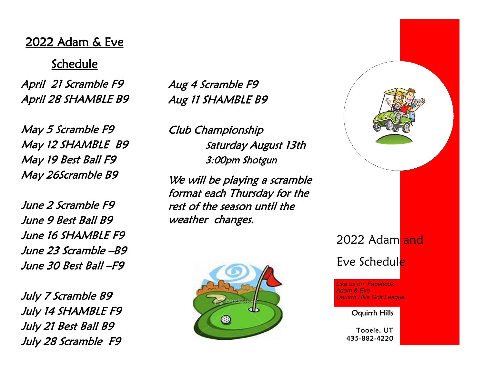# 2022 Adam & Eve

Schedule

April 21 Scramble F9 April 28 SHAMBLE B9

May 5 Scramble F9 May 12 SHAMBLE B9 May 19 Best Ball F9 May 26Scramble B9

June 2 Scramble F9 June 9 Best Ball B9 June 16 SHAMBLE F9 June 23 Scramble –B9 June 30 Best Ball –F9

July 7 Scramble B9 July 14 SHAMBLE F9 July 21 Best Ball B9 July 28 Scramble F9

Aug 4 Scramble F9 Aug 11 SHAMBLE B9

Club Championship <sup>S</sup>aturday August 13th 3:00pm Shotgun

We will be playing a scramble format each Thursday for the rest of the season until the weather changes.





Oquirrh Hills

Tooele, UT 435-882-4220